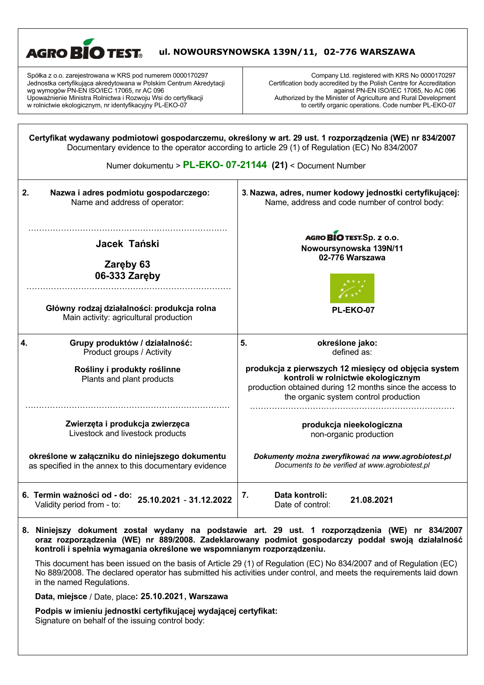| <b>AGRO BIO TEST.</b><br>ul. NOWOURSYNOWSKA 139N/11, 02-776 WARSZAWA                                                                                                                                                                                                                                     |                                                                                                                                                                                                                                                                                             |  |
|----------------------------------------------------------------------------------------------------------------------------------------------------------------------------------------------------------------------------------------------------------------------------------------------------------|---------------------------------------------------------------------------------------------------------------------------------------------------------------------------------------------------------------------------------------------------------------------------------------------|--|
| Spółka z o.o. zarejestrowana w KRS pod numerem 0000170297<br>Jednostka certyfikująca akredytowana w Polskim Centrum Akredytacji<br>wg wymogów PN-EN ISO/IEC 17065, nr AC 096<br>Upoważnienie Ministra Rolnictwa i Rozwoju Wsi do certyfikacji<br>w rolnictwie ekologicznym, nr identyfikacyjny PL-EKO-07 | Company Ltd. registered with KRS No 0000170297<br>Certification body accredited by the Polish Centre for Accreditation<br>against PN-EN ISO/IEC 17065, No AC 096<br>Authorized by the Minister of Agriculture and Rural Development<br>to certify organic operations. Code number PL-EKO-07 |  |
|                                                                                                                                                                                                                                                                                                          | Certyfikat wydawany podmiotowi gospodarczemu, określony w art. 29 ust. 1 rozporządzenia (WE) nr 834/2007<br>Documentary evidence to the operator according to article 29 (1) of Regulation (EC) No 834/2007<br>Numer dokumentu > PL-EKO- 07-21144 (21) < Document Number                    |  |
|                                                                                                                                                                                                                                                                                                          |                                                                                                                                                                                                                                                                                             |  |
| Nazwa i adres podmiotu gospodarczego:<br>2.<br>Name and address of operator:                                                                                                                                                                                                                             | 3. Nazwa, adres, numer kodowy jednostki certyfikującej:<br>Name, address and code number of control body:                                                                                                                                                                                   |  |
| Jacek Tański                                                                                                                                                                                                                                                                                             | AGRO BIO TEST.Sp. z o.o.<br>Nowoursynowska 139N/11                                                                                                                                                                                                                                          |  |
| Zaręby 63<br>06-333 Zareby                                                                                                                                                                                                                                                                               | 02-776 Warszawa                                                                                                                                                                                                                                                                             |  |
| Główny rodzaj działalności: produkcja rolna<br>Main activity: agricultural production                                                                                                                                                                                                                    | PL-EKO-07                                                                                                                                                                                                                                                                                   |  |
| Grupy produktów / działalność:<br>4.<br>Product groups / Activity                                                                                                                                                                                                                                        | 5.<br>określone jako:<br>defined as:                                                                                                                                                                                                                                                        |  |
| Rośliny i produkty roślinne<br>Plants and plant products                                                                                                                                                                                                                                                 | produkcja z pierwszych 12 miesięcy od objęcia system<br>kontroli w rolnictwie ekologicznym<br>production obtained during 12 months since the access to<br>the organic system control production                                                                                             |  |
| Zwierzęta i produkcja zwierzęca<br>Livestock and livestock products                                                                                                                                                                                                                                      | produkcja nieekologiczna<br>non-organic production                                                                                                                                                                                                                                          |  |
| określone w załączniku do niniejszego dokumentu<br>as specified in the annex to this documentary evidence                                                                                                                                                                                                | Dokumenty można zweryfikować na www.agrobiotest.pl<br>Documents to be verified at www.agrobiotest.pl                                                                                                                                                                                        |  |
| 6. Termin ważności od - do:<br>25.10.2021 - 31.12.2022<br>Validity period from - to:                                                                                                                                                                                                                     | Data kontroli:<br>7.<br>21.08.2021<br>Date of control:                                                                                                                                                                                                                                      |  |

## **8. Niniejszy dokument został wydany na podstawie art. 29 ust. 1 rozporządzenia (WE) nr 834/2007 oraz rozporządzenia (WE) nr 889/2008. Zadeklarowany podmiot gospodarczy poddał swoją działalność kontroli i spełnia wymagania określone we wspomnianym rozporządzeniu.**

This document has been issued on the basis of Article 29 (1) of Regulation (EC) No 834/2007 and of Regulation (EC) No 889/2008. The declared operator has submitted his activities under control, and meets the requirements laid down in the named Regulations.

**Data, miejsce** / Date, place**: 25.10.2021, Warszawa**

 $\overline{\phantom{a}}$ 

**Podpis w imieniu jednostki certyfikującej wydającej certyfikat:** Signature on behalf of the issuing control body: